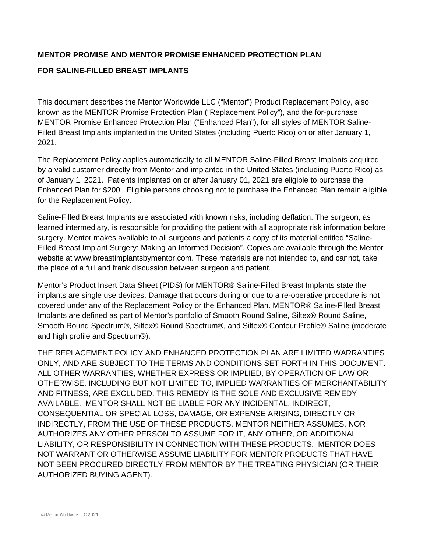## **MENTOR PROMISE AND MENTOR PROMISE ENHANCED PROTECTION PLAN**

### **FOR SALINE-FILLED BREAST IMPLANTS**

j

This document describes the Mentor Worldwide LLC ("Mentor") Product Replacement Policy, also known as the MENTOR Promise Protection Plan ("Replacement Policy"), and the for-purchase MENTOR Promise Enhanced Protection Plan ("Enhanced Plan"), for all styles of MENTOR Saline-Filled Breast Implants implanted in the United States (including Puerto Rico) on or after January 1, 2021.

The Replacement Policy applies automatically to all MENTOR Saline-Filled Breast Implants acquired by a valid customer directly from Mentor and implanted in the United States (including Puerto Rico) as of January 1, 2021. Patients implanted on or after January 01, 2021 are eligible to purchase the Enhanced Plan for \$200. Eligible persons choosing not to purchase the Enhanced Plan remain eligible for the Replacement Policy.

Saline-Filled Breast Implants are associated with known risks, including deflation. The surgeon, as learned intermediary, is responsible for providing the patient with all appropriate risk information before surgery. Mentor makes available to all surgeons and patients a copy of its material entitled "Saline-Filled Breast Implant Surgery: Making an Informed Decision". Copies are available through the Mentor website at www.breastimplantsbymentor.com. These materials are not intended to, and cannot, take the place of a full and frank discussion between surgeon and patient.

Mentor's Product Insert Data Sheet (PIDS) for MENTOR® Saline-Filled Breast Implants state the implants are single use devices. Damage that occurs during or due to a re-operative procedure is not covered under any of the Replacement Policy or the Enhanced Plan. MENTOR® Saline-Filled Breast Implants are defined as part of Mentor's portfolio of Smooth Round Saline, Siltex® Round Saline, Smooth Round Spectrum®, Siltex® Round Spectrum®, and Siltex® Contour Profile® Saline (moderate and high profile and Spectrum®).

THE REPLACEMENT POLICY AND ENHANCED PROTECTION PLAN ARE LIMITED WARRANTIES ONLY, AND ARE SUBJECT TO THE TERMS AND CONDITIONS SET FORTH IN THIS DOCUMENT. ALL OTHER WARRANTIES, WHETHER EXPRESS OR IMPLIED, BY OPERATION OF LAW OR OTHERWISE, INCLUDING BUT NOT LIMITED TO, IMPLIED WARRANTIES OF MERCHANTABILITY AND FITNESS, ARE EXCLUDED. THIS REMEDY IS THE SOLE AND EXCLUSIVE REMEDY AVAILABLE. MENTOR SHALL NOT BE LIABLE FOR ANY INCIDENTAL, INDIRECT, CONSEQUENTIAL OR SPECIAL LOSS, DAMAGE, OR EXPENSE ARISING, DIRECTLY OR INDIRECTLY, FROM THE USE OF THESE PRODUCTS. MENTOR NEITHER ASSUMES, NOR AUTHORIZES ANY OTHER PERSON TO ASSUME FOR IT, ANY OTHER, OR ADDITIONAL LIABILITY, OR RESPONSIBILITY IN CONNECTION WITH THESE PRODUCTS. MENTOR DOES NOT WARRANT OR OTHERWISE ASSUME LIABILITY FOR MENTOR PRODUCTS THAT HAVE NOT BEEN PROCURED DIRECTLY FROM MENTOR BY THE TREATING PHYSICIAN (OR THEIR AUTHORIZED BUYING AGENT).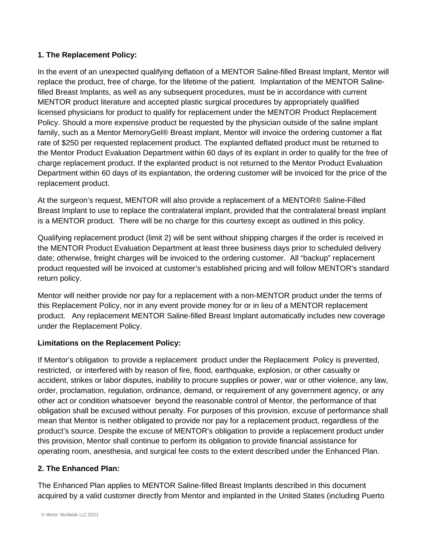# **1. The Replacement Policy:**

In the event of an unexpected qualifying deflation of a MENTOR Saline-filled Breast Implant, Mentor will replace the product, free of charge, for the lifetime of the patient. Implantation of the MENTOR Salinefilled Breast Implants, as well as any subsequent procedures, must be in accordance with current MENTOR product literature and accepted plastic surgical procedures by appropriately qualified licensed physicians for product to qualify for replacement under the MENTOR Product Replacement Policy. Should a more expensive product be requested by the physician outside of the saline implant family, such as a Mentor MemoryGel® Breast implant, Mentor will invoice the ordering customer a flat rate of \$250 per requested replacement product. The explanted deflated product must be returned to the Mentor Product Evaluation Department within 60 days of its explant in order to qualify for the free of charge replacement product. If the explanted product is not returned to the Mentor Product Evaluation Department within 60 days of its explantation, the ordering customer will be invoiced for the price of the replacement product.

At the surgeon's request, MENTOR will also provide a replacement of a MENTOR® Saline-Filled Breast Implant to use to replace the contralateral implant, provided that the contralateral breast implant is a MENTOR product. There will be no charge for this courtesy except as outlined in this policy.

Qualifying replacement product (limit 2) will be sent without shipping charges if the order is received in the MENTOR Product Evaluation Department at least three business days prior to scheduled delivery date; otherwise, freight charges will be invoiced to the ordering customer. All "backup" replacement product requested will be invoiced at customer's established pricing and will follow MENTOR's standard return policy.

Mentor will neither provide nor pay for a replacement with a non-MENTOR product under the terms of this Replacement Policy, nor in any event provide money for or in lieu of a MENTOR replacement product. Any replacement MENTOR Saline-filled Breast Implant automatically includes new coverage under the Replacement Policy.

# **Limitations on the Replacement Policy:**

If Mentor's obligation to provide a replacement product under the Replacement Policy is prevented, restricted, or interfered with by reason of fire, flood, earthquake, explosion, or other casualty or accident, strikes or labor disputes, inability to procure supplies or power, war or other violence, any law, order, proclamation, regulation, ordinance, demand, or requirement of any government agency, or any other act or condition whatsoever beyond the reasonable control of Mentor, the performance of that obligation shall be excused without penalty. For purposes of this provision, excuse of performance shall mean that Mentor is neither obligated to provide nor pay for a replacement product, regardless of the product's source. Despite the excuse of MENTOR's obligation to provide a replacement product under this provision, Mentor shall continue to perform its obligation to provide financial assistance for operating room, anesthesia, and surgical fee costs to the extent described under the Enhanced Plan.

# **2. The Enhanced Plan:**

The Enhanced Plan applies to MENTOR Saline-filled Breast Implants described in this document acquired by a valid customer directly from Mentor and implanted in the United States (including Puerto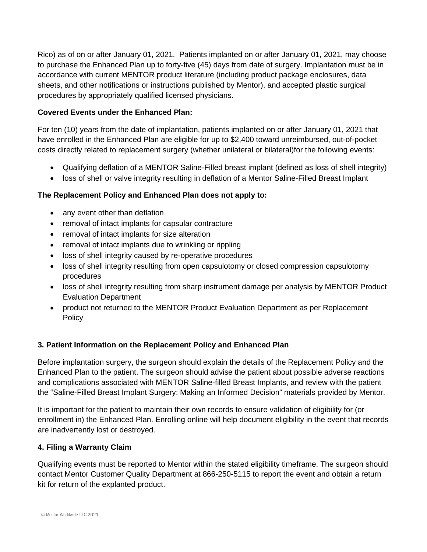Rico) as of on or after January 01, 2021. Patients implanted on or after January 01, 2021, may choose to purchase the Enhanced Plan up to forty-five (45) days from date of surgery. Implantation must be in accordance with current MENTOR product literature (including product package enclosures, data sheets, and other notifications or instructions published by Mentor), and accepted plastic surgical procedures by appropriately qualified licensed physicians.

## **Covered Events under the Enhanced Plan:**

For ten (10) years from the date of implantation, patients implanted on or after January 01, 2021 that have enrolled in the Enhanced Plan are eligible for up to \$2,400 toward unreimbursed, out-of-pocket costs directly related to replacement surgery (whether unilateral or bilateral)for the following events:

- Qualifying deflation of a MENTOR Saline-Filled breast implant (defined as loss of shell integrity)
- loss of shell or valve integrity resulting in deflation of a Mentor Saline-Filled Breast Implant

## **The Replacement Policy and Enhanced Plan does not apply to:**

- any event other than deflation
- removal of intact implants for capsular contracture
- removal of intact implants for size alteration
- removal of intact implants due to wrinkling or rippling
- loss of shell integrity caused by re-operative procedures
- loss of shell integrity resulting from open capsulotomy or closed compression capsulotomy procedures
- loss of shell integrity resulting from sharp instrument damage per analysis by MENTOR Product Evaluation Department
- product not returned to the MENTOR Product Evaluation Department as per Replacement **Policy**

### **3. Patient Information on the Replacement Policy and Enhanced Plan**

Before implantation surgery, the surgeon should explain the details of the Replacement Policy and the Enhanced Plan to the patient. The surgeon should advise the patient about possible adverse reactions and complications associated with MENTOR Saline-filled Breast Implants, and review with the patient the "Saline-Filled Breast Implant Surgery: Making an Informed Decision" materials provided by Mentor.

It is important for the patient to maintain their own records to ensure validation of eligibility for (or enrollment in) the Enhanced Plan. Enrolling online will help document eligibility in the event that records are inadvertently lost or destroyed.

### **4. Filing a Warranty Claim**

Qualifying events must be reported to Mentor within the stated eligibility timeframe. The surgeon should contact Mentor Customer Quality Department at 866-250-5115 to report the event and obtain a return kit for return of the explanted product.